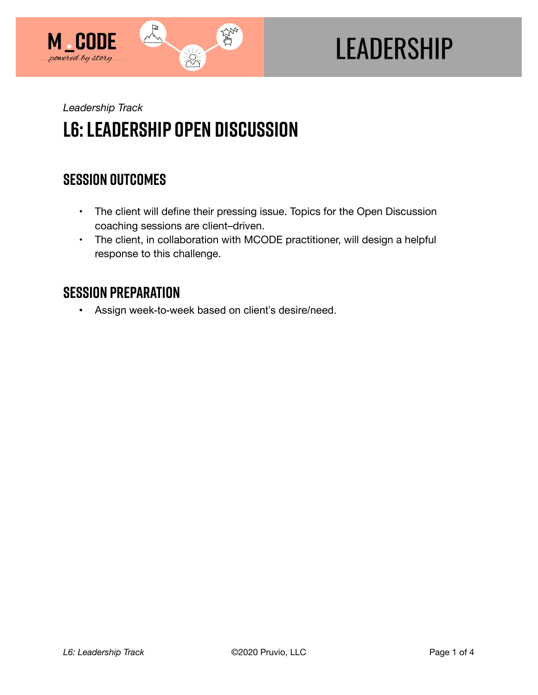

# **LEADERSHIP**

*Leadership Track* 

## **L6: Leadership Open Discussion**

## **SESSION OUTCOMES**

- The client will define their pressing issue. Topics for the Open Discussion coaching sessions are client–driven.
- The client, in collaboration with MCODE practitioner, will design a helpful response to this challenge.

## **SESSION PREPARATION**

• Assign week-to-week based on client's desire/need.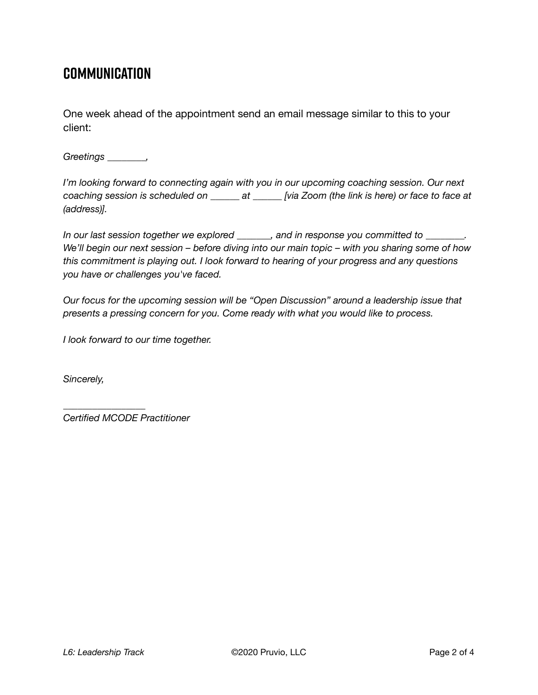## **COMMUNICATION**

One week ahead of the appointment send an email message similar to this to your client:

*Greetings \_\_\_\_\_\_\_\_,* 

*I'm looking forward to connecting again with you in our upcoming coaching session. Our next coaching session is scheduled on \_\_\_\_\_\_ at \_\_\_\_\_\_ [via Zoom (the link is here) or face to face at (address)].* 

*In our last session together we explored \_\_\_\_\_\_\_, and in response you committed to \_\_\_\_\_\_\_\_. We'll begin our next session – before diving into our main topic – with you sharing some of how this commitment is playing out. I look forward to hearing of your progress and any questions you have or challenges you've faced.* 

*Our focus for the upcoming session will be "Open Discussion" around a leadership issue that presents a pressing concern for you. Come ready with what you would like to process.* 

*I look forward to our time together.* 

*Sincerely,* 

*Certified MCODE Practitioner*

*\_\_\_\_\_\_\_\_\_\_\_\_\_\_\_\_\_*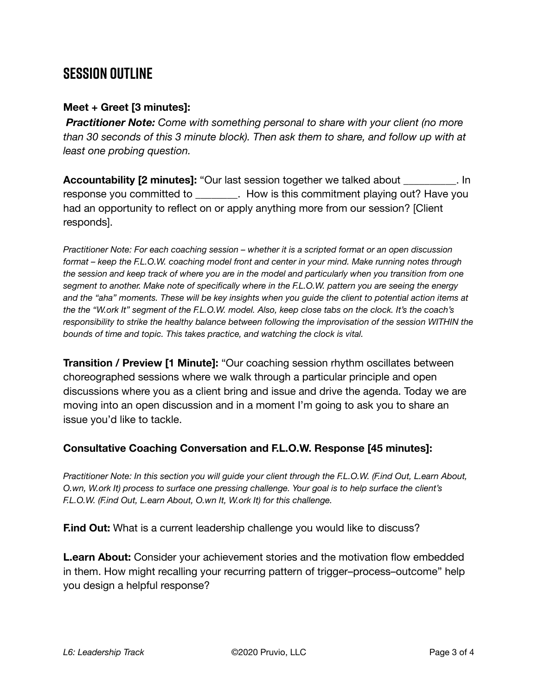## **SESSION OUTLINE**

#### **Meet + Greet [3 minutes]:**

*Practitioner Note: Come with something personal to share with your client (no more than 30 seconds of this 3 minute block). Then ask them to share, and follow up with at least one probing question.* 

**Accountability [2 minutes]:** "Our last session together we talked about \_\_\_\_\_\_\_\_\_\_. In response you committed to exactled building in this commitment playing out? Have you had an opportunity to reflect on or apply anything more from our session? [Client responds].

*Practitioner Note: For each coaching session – whether it is a scripted format or an open discussion format – keep the F.L.O.W. coaching model front and center in your mind. Make running notes through the session and keep track of where you are in the model and particularly when you transition from one segment to another. Make note of specifically where in the F.L.O.W. pattern you are seeing the energy and the "aha" moments. These will be key insights when you guide the client to potential action items at the the "W.ork It" segment of the F.L.O.W. model. Also, keep close tabs on the clock. It's the coach's responsibility to strike the healthy balance between following the improvisation of the session WITHIN the bounds of time and topic. This takes practice, and watching the clock is vital.*

**Transition / Preview [1 Minute]:** "Our coaching session rhythm oscillates between choreographed sessions where we walk through a particular principle and open discussions where you as a client bring and issue and drive the agenda. Today we are moving into an open discussion and in a moment I'm going to ask you to share an issue you'd like to tackle.

#### **Consultative Coaching Conversation and F.L.O.W. Response [45 minutes]:**

*Practitioner Note: In this section you will guide your client through the F.L.O.W. (F.ind Out, L.earn About, O.wn, W.ork It) process to surface one pressing challenge. Your goal is to help surface the client's F.L.O.W. (F.ind Out, L.earn About, O.wn It, W.ork It) for this challenge.*

**F.ind Out:** What is a current leadership challenge you would like to discuss?

**L.earn About:** Consider your achievement stories and the motivation flow embedded in them. How might recalling your recurring pattern of trigger–process–outcome" help you design a helpful response?